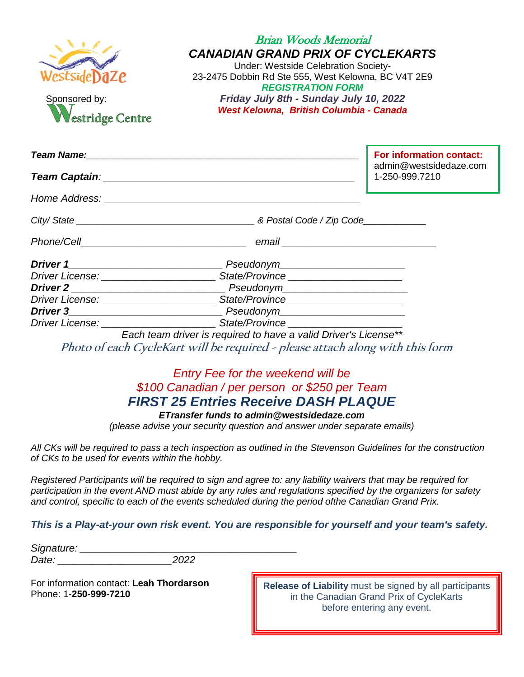| lestsideDaZe<br>Sponsored by:<br>Westridge Centre | <b>Brian Woods Memorial</b><br><b>CANADIAN GRAND PRIX OF CYCLEKARTS</b><br>Under: Westside Celebration Society-<br>23-2475 Dobbin Rd Ste 555, West Kelowna, BC V4T 2E9<br><b>REGISTRATION FORM</b><br>Friday July 8th - Sunday July 10, 2022<br>West Kelowna, British Columbia - Canada |                                          |
|---------------------------------------------------|-----------------------------------------------------------------------------------------------------------------------------------------------------------------------------------------------------------------------------------------------------------------------------------------|------------------------------------------|
|                                                   |                                                                                                                                                                                                                                                                                         | For information contact:                 |
|                                                   |                                                                                                                                                                                                                                                                                         | admin@westsidedaze.com<br>1-250-999.7210 |
|                                                   |                                                                                                                                                                                                                                                                                         |                                          |
|                                                   |                                                                                                                                                                                                                                                                                         |                                          |
|                                                   |                                                                                                                                                                                                                                                                                         |                                          |
|                                                   |                                                                                                                                                                                                                                                                                         |                                          |
|                                                   | Driver License: <u>Communications</u> State/Province Communications Communications of the State/Province Communication                                                                                                                                                                  |                                          |
|                                                   |                                                                                                                                                                                                                                                                                         |                                          |
|                                                   | Driver License: <u>______________________________</u> State/Province _______________________                                                                                                                                                                                            |                                          |
|                                                   |                                                                                                                                                                                                                                                                                         |                                          |
|                                                   | Driver License: <u>New York: New York: State/Province</u> _____________________________                                                                                                                                                                                                 |                                          |
|                                                   | Each team driver is required to have a valid Driver's License**<br>Photo of each CycleKart will be required - please attach along with this form                                                                                                                                        |                                          |

## *Entry Fee for the weekend will be \$100 Canadian / per person or \$250 per Team FIRST 25 Entries Receive DASH PLAQUE*

*ETransfer funds to admin@westsidedaze.com*

*(please advise your security question and answer under separate emails)*

*All CKs will be required to pass a tech inspection as outlined in the Stevenson Guidelines for the construction of CKs to be used for events within the hobby.*

*Registered Participants will be required to sign and agree to: any liability waivers that may be required for participation in the event AND must abide by any rules and regulations specified by the organizers for safety and control, specific to each of the events scheduled during the period ofthe Canadian Grand Prix.* 

#### *This is a Play-at-your own risk event. You are responsible for yourself and your team's safety.*

*Signature: \_\_\_\_\_\_\_\_\_\_\_\_\_\_\_\_\_\_\_\_\_\_\_\_\_\_\_\_\_\_\_\_\_\_\_\_\_\_ Date: \_\_\_\_\_\_\_\_\_\_\_\_\_\_\_\_\_\_\_\_2022*

For information contact: **Leah Thordarson** Phone: 1-**250-999-7210**

**Release of Liability** must be signed by all participants in the Canadian Grand Prix of CycleKarts before entering any event.